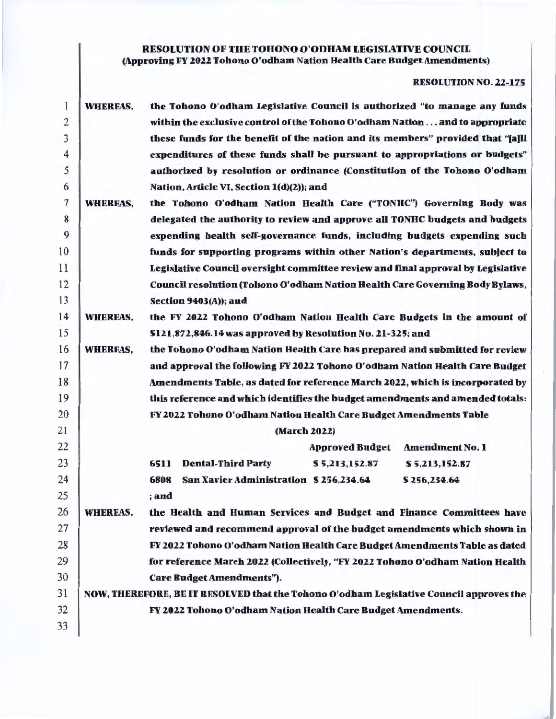# RESOLUTION OF THE TOHONO O'ODHAM LEGISLATIVE COUNCIL (Approving FY 2022 Tohono O'odham Nation Health Care Budget Amendments)

# RESOLUTION NO. 22-175

| 1              | <b>WHEREAS,</b>                                                                  | the Tohono O'odham Legislative Council is authorized "to manage any funds               |  |  |  |  |  |  |  |
|----------------|----------------------------------------------------------------------------------|-----------------------------------------------------------------------------------------|--|--|--|--|--|--|--|
| $\overline{2}$ |                                                                                  | within the exclusive control of the Tohono O'odham Nation and to appropriate            |  |  |  |  |  |  |  |
| 3              |                                                                                  | these funds for the benefit of the nation and its members" provided that "[a]ll         |  |  |  |  |  |  |  |
| $\overline{4}$ |                                                                                  | expenditures of these funds shall be pursuant to appropriations or budgets"             |  |  |  |  |  |  |  |
| 5              |                                                                                  | authorized by resolution or ordinance (Constitution of the Tohono O'odham               |  |  |  |  |  |  |  |
| 6              |                                                                                  | Nation, Article VI, Section 1(d)(2)); and                                               |  |  |  |  |  |  |  |
| $\overline{7}$ | <b>WHEREAS,</b>                                                                  | the Tohono O'odham Nation Health Care ("TONHC") Governing Body was                      |  |  |  |  |  |  |  |
| 8              |                                                                                  | delegated the authority to review and approve all TONHC budgets and budgets             |  |  |  |  |  |  |  |
| 9              |                                                                                  | expending health self-governance funds, including budgets expending such                |  |  |  |  |  |  |  |
| 10             |                                                                                  | funds for supporting programs within other Nation's departments, subject to             |  |  |  |  |  |  |  |
| 11             | Legislative Council oversight committee review and final approval by Legislative |                                                                                         |  |  |  |  |  |  |  |
| 12             |                                                                                  | Council resolution (Tohono O'odham Nation Health Care Governing Body Bylaws,            |  |  |  |  |  |  |  |
| 13             |                                                                                  | <b>Section 9403(A)); and</b>                                                            |  |  |  |  |  |  |  |
| 14             | <b>WHEREAS,</b>                                                                  | the FY 2022 Tohono O'odham Nation Health Care Budgets in the amount of                  |  |  |  |  |  |  |  |
| 15             |                                                                                  | \$121,872,846.14 was approved by Resolution No. 21-325; and                             |  |  |  |  |  |  |  |
| 16             | <b>WHEREAS,</b>                                                                  | the Tohono O'odham Nation Health Care has prepared and submitted for review             |  |  |  |  |  |  |  |
| 17             |                                                                                  | and approval the following FY 2022 Tohono O'odham Nation Health Care Budget             |  |  |  |  |  |  |  |
| 18             |                                                                                  | Amendments Table, as dated for reference March 2022, which is incorporated by           |  |  |  |  |  |  |  |
| 19             |                                                                                  | this reference and which identifies the budget amendments and amended totals:           |  |  |  |  |  |  |  |
| 20             |                                                                                  | FY 2022 Tohono O'odham Nation Health Care Budget Amendments Table                       |  |  |  |  |  |  |  |
| 21             |                                                                                  | (March 2022)                                                                            |  |  |  |  |  |  |  |
| 22             |                                                                                  | <b>Approved Budget</b><br><b>Amendment No. 1</b>                                        |  |  |  |  |  |  |  |
| 23             |                                                                                  | <b>Dental-Third Party</b><br>6511<br>\$5,213,152.87<br>\$5,213,152.87                   |  |  |  |  |  |  |  |
| 24             |                                                                                  | San Xavier Administration \$256,234.64<br>6808<br>\$256,234.64                          |  |  |  |  |  |  |  |
| 25             |                                                                                  | ; and                                                                                   |  |  |  |  |  |  |  |
| 26             | <b>WHEREAS,</b>                                                                  | the Health and Human Services and Budget and Finance Committees have                    |  |  |  |  |  |  |  |
| 27             |                                                                                  | reviewed and recommend approval of the budget amendments which shown in                 |  |  |  |  |  |  |  |
| 28             |                                                                                  | FY 2022 Tohono O'odham Nation Health Care Budget Amendments Table as dated              |  |  |  |  |  |  |  |
| 29             |                                                                                  | for reference March 2022 (Collectively, "FY 2022 Tohono O'odham Nation Health           |  |  |  |  |  |  |  |
| 30             |                                                                                  | <b>Care Budget Amendments").</b>                                                        |  |  |  |  |  |  |  |
| 31             |                                                                                  | NOW, THEREFORE, BE IT RESOLVED that the Tohono O'odham Legislative Council approves the |  |  |  |  |  |  |  |
| 32             |                                                                                  | FY 2022 Tohono O'odham Nation Health Care Budget Amendments.                            |  |  |  |  |  |  |  |
| 33             |                                                                                  |                                                                                         |  |  |  |  |  |  |  |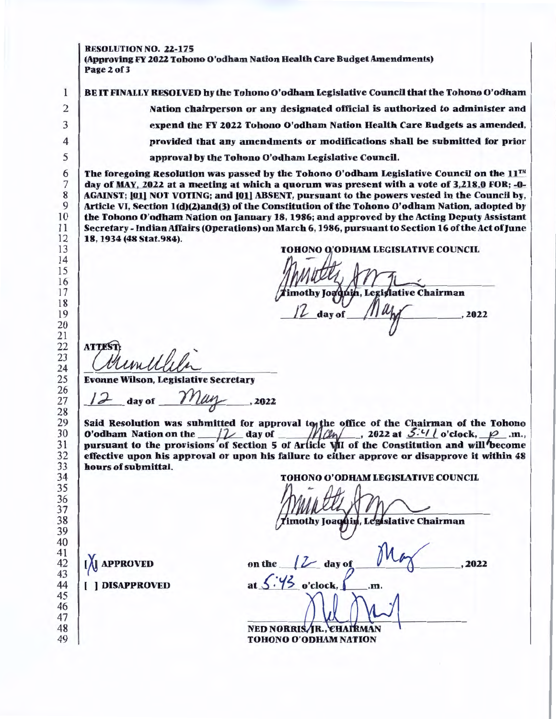RESOLUTION NO. 22-175

 $\mathbf{1}$ 

(Approving FY 2022 Tohono O'odham Nation Health Care Budget Amendments) Page2of3

BE IT FINALLY RESOLVED by the Tohono O'odham Legislative Council that the Tohono O'odham Nation chairperson or any designated official is authorized to administer and expend the FY 2022 Tohono O'odham Nation Health Care Budgets as amended, provided that any amendments or modifications shall be submitted for prior approval by the Tohono O'odham Legislative Council.

The foregoing Resolution was passed by the Tohono O'odham Legislative Council on the  $11<sup>TH</sup>$ day of MAY, 2022 at a meeting at which a quorum was present with a vote of 3,218.0 FOR; -0-AGAINST; [01] NOT VOTING; and [01] ABSENT, pursuant to the powers vested in the Council by, Article VI, Section 1(d)(2)and(3) of the Constitution of the Tohono O'odham Nation, adopted by the Tohono O'odham Nation on January 18, 1986; and approved by the Acting Deputy Assistant Secretary - Indian Affairs (Operations) on March 6, 1986, pursuant to Section 16 of the Act of June 18, 1934 (48 Stat.984).

'ODHAM LEGISLATIVE COUNCIL

day of , 2022

Finoth<br>TL<br>CHuwelleler<br>Wilson, Legislative Secretary

Evonne Wilson, Legislative Secretary

 $_i$  day of  $\frac{\gamma\gamma_{\mu\mu}}{\gamma}$ , 2022

Said Resolution was submitted for approval to the office of the Chairman of the Tohono O'odham Nation on the  $12$  day of  $M/dn/$ , 2022 at  $3/4$  i o'clock,  $p$  .m., pursuant to the provisions of Section 5 of Article VII of the Constitution and will become effective upon his approval or upon his failure to either approve or disapprove it within 48 hours of submittal.

TOHONO O'ODHAM LEGISLATIVE COUNCIL

 $12$  day of  $M_{\phi}$  . 202 on the  $\sqrt{2}$  day of  $\sqrt{2}$ , 2022

at  $5:45$  o'clock,  $\Box$  .m

TOHONO O' NEDNORruS. JR., CHAIRMAN

**[A] APPROVED** 

( ) DISAPPROVED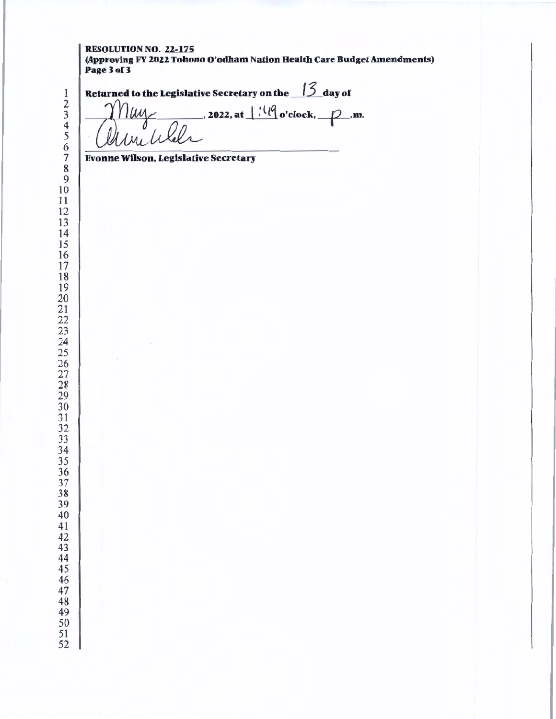#### RESOLUTION NO. 22-175 (Approving FY 2022 Tohono O'odham Nation Health Care Budget Amendments) Page 3 of 3

 

<sup>1</sup><br>
<sup>2</sup><br>
<sup>3</sup><br>
<sup>4</sup><br>
<sup>5</sup><br>
<del><sup>5</sup></del><br> *Cuttuc to the Legislative Secretary*<br>
<sup>1</sup><br> *Cuttuc to the legislative Secretary***<br>
<sup>7</sup>** 

7 Evonne Wilson, Legislative Secretary